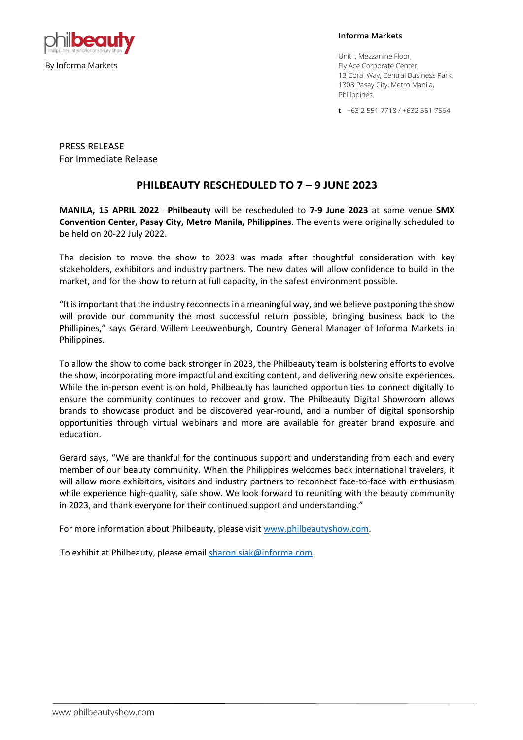

**Informa Markets** 

Unit I, Mezzanine Floor, Fly Ace Corporate Center, 13 Coral Way, Central Business Park, 1308 Pasay City, Metro Manila, Philippines.

**t** +63 2 551 7718 / +632 551 7564

PRESS RELEASE For Immediate Release

## **PHILBEAUTY RESCHEDULED TO 7 – 9 JUNE 2023**

**MANILA, 15 APRIL 2022** –**Philbeauty** will be rescheduled to **7-9 June 2023** at same venue **SMX Convention Center, Pasay City, Metro Manila, Philippines**. The events were originally scheduled to be held on 20-22 July 2022.

The decision to move the show to 2023 was made after thoughtful consideration with key stakeholders, exhibitors and industry partners. The new dates will allow confidence to build in the market, and for the show to return at full capacity, in the safest environment possible.

"It is important that the industry reconnects in a meaningful way, and we believe postponing the show will provide our community the most successful return possible, bringing business back to the Phillipines," says Gerard Willem Leeuwenburgh, Country General Manager of Informa Markets in Philippines.

To allow the show to come back stronger in 2023, the Philbeauty team is bolstering efforts to evolve the show, incorporating more impactful and exciting content, and delivering new onsite experiences. While the in-person event is on hold, Philbeauty has launched opportunities to connect digitally to ensure the community continues to recover and grow. The Philbeauty Digital Showroom allows brands to showcase product and be discovered year-round, and a number of digital sponsorship opportunities through virtual webinars and more are available for greater brand exposure and education.

Gerard says, "We are thankful for the continuous support and understanding from each and every member of our beauty community. When the Philippines welcomes back international travelers, it will allow more exhibitors, visitors and industry partners to reconnect face-to-face with enthusiasm while experience high-quality, safe show. We look forward to reuniting with the beauty community in 2023, and thank everyone for their continued support and understanding."

For more information about Philbeauty, please visit [www.philbeautyshow.com.](http://www.philbeautyshow.com/)

To exhibit at Philbeauty, please emai[l sharon.siak@informa.com.](mailto:sharon.siak@informa.com)